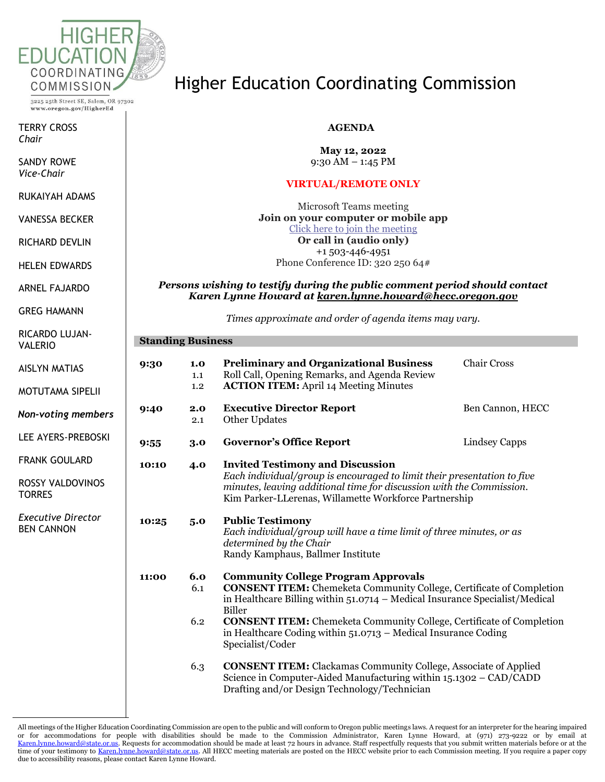

3225 25th Street SE, Salem, OR 97302 www.oregon.gov/HigherEd

TERRY CROSS *Chair*

SANDY ROWE *Vice-Chair*

RUKAIYAH ADAMS

VANESSA BECKER

RICHARD DEVLIN

HELEN EDWARDS

ARNEL FAJARDO

GREG HAMANN

RICARDO LUJAN-VALER

**Standing Business**

Higher Education Coordinating Commission

## **AGENDA**

**May 12, 2022** 9:30 AM – 1:45 PM

### **VIRTUAL/REMOTE ONLY**

Microsoft Teams meeting **Join on your computer or mobile app** [Click here to join the meeting](https://teams.microsoft.com/l/meetup-join/19%3ameeting_NzIzYTI1OWYtODdiOS00NjJmLWJjMjktY2VmODkzMzhiNGQ4%40thread.v2/0?context=%7b%22Tid%22%3a%22aa3f6932-fa7c-47b4-a0ce-a598cad161cf%22%2c%22Oid%22%3a%22e27751c5-b346-4737-8018-c8527a67292f%22%7d) **Or call in (audio only)** +1 503-446-4951 Phone Conference ID: 320 250 64#

#### *Persons wishing to testify during the public comment period should contact Karen Lynne Howard at [karen.lynne.howard@hecc.oregon.gov](mailto:karen.lynne.howard@hecc.oregon.gov)*

*Times approximate and order of agenda items may vary.*

| <b>VALERIO</b>                                 |       |                   |                                                                                                                                                                                                                                                                                                                                                                                             |                    |  |  |
|------------------------------------------------|-------|-------------------|---------------------------------------------------------------------------------------------------------------------------------------------------------------------------------------------------------------------------------------------------------------------------------------------------------------------------------------------------------------------------------------------|--------------------|--|--|
| <b>AISLYN MATIAS</b>                           | 9:30  | 1.0<br>1.1        | <b>Preliminary and Organizational Business</b><br>Roll Call, Opening Remarks, and Agenda Review                                                                                                                                                                                                                                                                                             | <b>Chair Cross</b> |  |  |
| <b>MOTUTAMA SIPELII</b>                        |       | $1.2\,$           | <b>ACTION ITEM:</b> April 14 Meeting Minutes                                                                                                                                                                                                                                                                                                                                                |                    |  |  |
| <b>Non-voting members</b>                      | 9:40  | 2.0<br>2.1        | <b>Executive Director Report</b><br>Other Updates                                                                                                                                                                                                                                                                                                                                           | Ben Cannon, HECC   |  |  |
| LEE AYERS-PREBOSKI                             | 9:55  | 3.0               | <b>Governor's Office Report</b>                                                                                                                                                                                                                                                                                                                                                             | Lindsey Capps      |  |  |
| <b>FRANK GOULARD</b>                           | 10:10 | 4.0               | <b>Invited Testimony and Discussion</b>                                                                                                                                                                                                                                                                                                                                                     |                    |  |  |
| ROSSY VALDOVINOS<br><b>TORRES</b>              |       |                   | Each individual/group is encouraged to limit their presentation to five<br>minutes, leaving additional time for discussion with the Commission.<br>Kim Parker-LLerenas, Willamette Workforce Partnership                                                                                                                                                                                    |                    |  |  |
| <b>Executive Director</b><br><b>BEN CANNON</b> | 10:25 | 5.0               | <b>Public Testimony</b><br>Each individual/group will have a time limit of three minutes, or as<br>determined by the Chair<br>Randy Kamphaus, Ballmer Institute                                                                                                                                                                                                                             |                    |  |  |
|                                                | 11:00 | 6.0<br>6.1<br>6.2 | <b>Community College Program Approvals</b><br><b>CONSENT ITEM:</b> Chemeketa Community College, Certificate of Completion<br>in Healthcare Billing within $51.0714$ – Medical Insurance Specialist/Medical<br>Biller<br><b>CONSENT ITEM:</b> Chemeketa Community College, Certificate of Completion<br>in Healthcare Coding within $51.0713$ – Medical Insurance Coding<br>Specialist/Coder |                    |  |  |
|                                                |       | 6.3               | <b>CONSENT ITEM:</b> Clackamas Community College, Associate of Applied<br>Science in Computer-Aided Manufacturing within 15.1302 - CAD/CADD<br>Drafting and/or Design Technology/Technician                                                                                                                                                                                                 |                    |  |  |

All meetings of the Higher Education Coordinating Commission are open to the public and will conform to Oregon public meetings laws. A request for an interpreter for the hearing impaired or for accommodations for people with disabilities should be made to the Commission Administrator, Karen Lynne Howard, at (971) 273-9222 or by email at [Karen.lynne.howard@state.or.us.](mailto:Karen.lynne.howard@state.or.us) Requests for accommodation should be made at least 72 hours in advance. Staff respectfully requests that you submit written materials before or at the time of your testimony t[o Karen.lynne.howard@state.or.us.](mailto:Karen.lynne.howard@state.or.us) All HECC meeting materials are posted on the HECC website prior to each Commission meeting. If you require a paper copy due to accessibility reasons, please contact Karen Lynne Howard.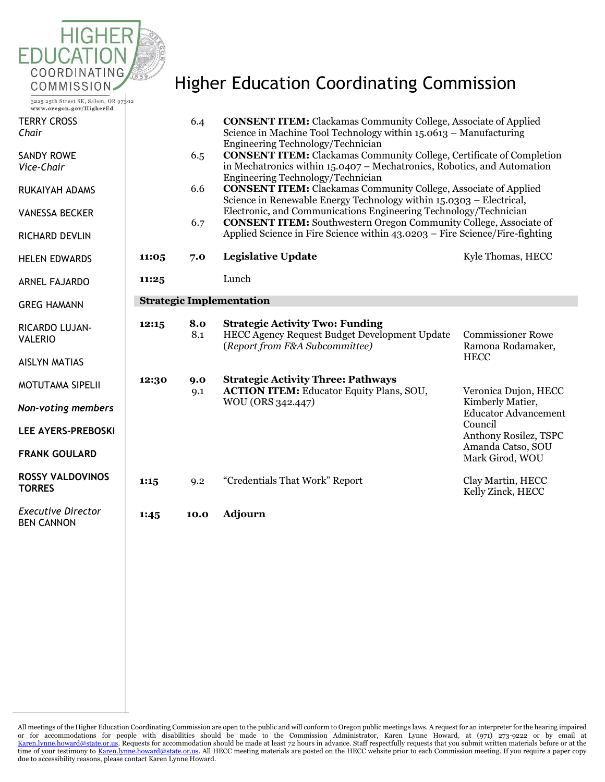

3225 25th Street SE, Salem, OR 97302 www.oregon.gov/HigherEd

TERRY CROSS *Chair*

SANDY ROWE *Vice-Chair*

- RUKAIYAH ADA
- **VANESSA BECKE**

**RICHARD DEVLII** 

**HELEN EDWARD** 

**ARNEL FAJARDO** 

GREG HAMANN

RICARDO LUJAN-VALERIO

AISLYN MATIAS

MOTUTAMA SIP

*Non-voting me* 

**LEE AYERS-PRE** 

**FRANK GOULA** 

**ROSSY VALDOV TORRES**

**Executive Direct** BEN CANNON

# Higher Education Coordinating Commission

|                                      |       | 6.4        | <b>CONSENT ITEM:</b> Clackamas Community College, Associate of Applied<br>Science in Machine Tool Technology within 15.0613 - Manufacturing<br>Engineering Technology/Technician                                            |                                                                                                                                                     |  |  |
|--------------------------------------|-------|------------|-----------------------------------------------------------------------------------------------------------------------------------------------------------------------------------------------------------------------------|-----------------------------------------------------------------------------------------------------------------------------------------------------|--|--|
|                                      |       | 6.5        | <b>CONSENT ITEM:</b> Clackamas Community College, Certificate of Completion<br>in Mechatronics within 15.0407 – Mechatronics, Robotics, and Automation<br>Engineering Technology/Technician                                 |                                                                                                                                                     |  |  |
| WS                                   |       | 6.6        | <b>CONSENT ITEM:</b> Clackamas Community College, Associate of Applied<br>Science in Renewable Energy Technology within 15.0303 - Electrical,                                                                               |                                                                                                                                                     |  |  |
| ER<br>N                              |       | 6.7        | Electronic, and Communications Engineering Technology/Technician<br><b>CONSENT ITEM:</b> Southwestern Oregon Community College, Associate of<br>Applied Science in Fire Science within 43.0203 - Fire Science/Fire-fighting |                                                                                                                                                     |  |  |
| ΙS                                   | 11:05 | 7.0        | <b>Legislative Update</b>                                                                                                                                                                                                   | Kyle Thomas, HECC                                                                                                                                   |  |  |
| C                                    | 11:25 |            | Lunch                                                                                                                                                                                                                       |                                                                                                                                                     |  |  |
|                                      |       |            | <b>Strategic Implementation</b>                                                                                                                                                                                             |                                                                                                                                                     |  |  |
| J-                                   | 12:15 | 8.0<br>8.1 | <b>Strategic Activity Two: Funding</b><br>HECC Agency Request Budget Development Update<br>(Report from F&A Subcommittee)                                                                                                   | <b>Commissioner Rowe</b><br>Ramona Rodamaker,<br><b>HECC</b>                                                                                        |  |  |
| elii<br>mbers<br><b>EBOSKI</b><br>RD | 12:30 | 9.0<br>9.1 | <b>Strategic Activity Three: Pathways</b><br><b>ACTION ITEM:</b> Educator Equity Plans, SOU,<br>WOU (ORS 342.447)                                                                                                           | Veronica Dujon, HECC<br>Kimberly Matier,<br><b>Educator Advancement</b><br>Council<br>Anthony Rosilez, TSPC<br>Amanda Catso, SOU<br>Mark Girod, WOU |  |  |
| <b>INOS</b>                          | 1:15  | 9.2        | "Credentials That Work" Report                                                                                                                                                                                              | Clay Martin, HECC<br>Kelly Zinck, HECC                                                                                                              |  |  |
| :tor                                 | 1:45  | 10.0       | <b>Adjourn</b>                                                                                                                                                                                                              |                                                                                                                                                     |  |  |
|                                      |       |            |                                                                                                                                                                                                                             |                                                                                                                                                     |  |  |
|                                      |       |            |                                                                                                                                                                                                                             |                                                                                                                                                     |  |  |

All meetings of the Higher Education Coordinating Commission are open to the public and will conform to Oregon public meetings laws. A request for an interpreter for the hearing impaired or for accommodations for people with disabilities should be made to the Commission Administrator, Karen Lynne Howard, at (971) 273-9222 or by email at [Karen.lynne.howard@state.or.us.](mailto:Karen.lynne.howard@state.or.us) Requests for accommodation should be made at least 72 hours in advance. Staff respectfully requests that you submit written materials before or at the time of your testimony t[o Karen.lynne.howard@state.or.us.](mailto:Karen.lynne.howard@state.or.us) All HECC meeting materials are posted on the HECC website prior to each Commission meeting. If you require a paper copy due to accessibility reasons, please contact Karen Lynne Howard.